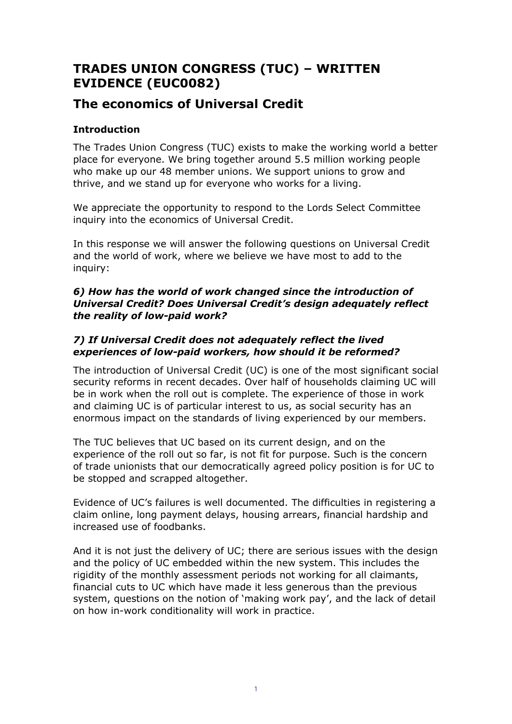# **TRADES UNION CONGRESS (TUC) – WRITTEN EVIDENCE (EUC0082)**

# **The economics of Universal Credit**

## **Introduction**

The Trades Union Congress (TUC) exists to make the working world a better place for everyone. We bring together around 5.5 million working people who make up our 48 member unions. We support unions to grow and thrive, and we stand up for everyone who works for a living.

We appreciate the opportunity to respond to the Lords Select Committee inquiry into the economics of Universal Credit.

In this response we will answer the following questions on Universal Credit and the world of work, where we believe we have most to add to the inquiry:

## *6) How has the world of work changed since the introduction of Universal Credit? Does Universal Credit's design adequately reflect the reality of low-paid work?*

## *7) If Universal Credit does not adequately reflect the lived experiences of low-paid workers, how should it be reformed?*

The introduction of Universal Credit (UC) is one of the most significant social security reforms in recent decades. Over half of households claiming UC will be in work when the roll out is complete. The experience of those in work and claiming UC is of particular interest to us, as social security has an enormous impact on the standards of living experienced by our members.

The TUC believes that UC based on its current design, and on the experience of the roll out so far, is not fit for purpose. Such is the concern of trade unionists that our democratically agreed policy position is for UC to be stopped and scrapped altogether.

Evidence of UC's failures is well documented. The difficulties in registering a claim online, long payment delays, housing arrears, financial hardship and increased use of foodbanks.

And it is not just the delivery of UC; there are serious issues with the design and the policy of UC embedded within the new system. This includes the rigidity of the monthly assessment periods not working for all claimants, financial cuts to UC which have made it less generous than the previous system, questions on the notion of 'making work pay', and the lack of detail on how in-work conditionality will work in practice.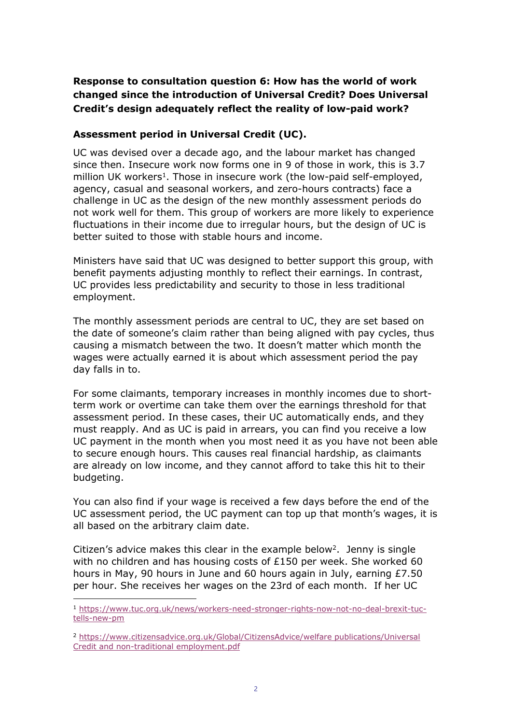# **Response to consultation question 6: How has the world of work changed since the introduction of Universal Credit? Does Universal Credit's design adequately reflect the reality of low-paid work?**

## **Assessment period in Universal Credit (UC).**

UC was devised over a decade ago, and the labour market has changed since then. Insecure work now forms one in 9 of those in work, this is 3.7 million UK workers<sup>1</sup>. Those in insecure work (the low-paid self-employed, agency, casual and seasonal workers, and zero-hours contracts) face a challenge in UC as the design of the new monthly assessment periods do not work well for them. This group of workers are more likely to experience fluctuations in their income due to irregular hours, but the design of UC is better suited to those with stable hours and income.

Ministers have said that UC was designed to better support this group, with benefit payments adjusting monthly to reflect their earnings. In contrast, UC provides less predictability and security to those in less traditional employment.

The monthly assessment periods are central to UC, they are set based on the date of someone's claim rather than being aligned with pay cycles, thus causing a mismatch between the two. It doesn't matter which month the wages were actually earned it is about which assessment period the pay day falls in to.

For some claimants, temporary increases in monthly incomes due to shortterm work or overtime can take them over the earnings threshold for that assessment period. In these cases, their UC automatically ends, and they must reapply. And as UC is paid in arrears, you can find you receive a low UC payment in the month when you most need it as you have not been able to secure enough hours. This causes real financial hardship, as claimants are already on low income, and they cannot afford to take this hit to their budgeting.

You can also find if your wage is received a few days before the end of the UC assessment period, the UC payment can top up that month's wages, it is all based on the arbitrary claim date.

Citizen's advice makes this clear in the example below<sup>2</sup>. Jenny is single with no children and has housing costs of £150 per week. She worked 60 hours in May, 90 hours in June and 60 hours again in July, earning £7.50 per hour. She receives her wages on the 23rd of each month. If her UC

<sup>1</sup> [https://www.tuc.org.uk/news/workers-need-stronger-rights-now-not-no-deal-brexit-tuc](https://www.tuc.org.uk/news/workers-need-stronger-rights-now-not-no-deal-brexit-tuc-tells-new-pm)[tells-new-pm](https://www.tuc.org.uk/news/workers-need-stronger-rights-now-not-no-deal-brexit-tuc-tells-new-pm)

<sup>2</sup> [https://www.citizensadvice.org.uk/Global/CitizensAdvice/welfare](https://www.citizensadvice.org.uk/Global/CitizensAdvice/welfare%20publications/Universal%20Credit%20and%20non-traditional%20employment.pdf) [publications/Universal](https://www.citizensadvice.org.uk/Global/CitizensAdvice/welfare%20publications/Universal%20Credit%20and%20non-traditional%20employment.pdf) [Credit](https://www.citizensadvice.org.uk/Global/CitizensAdvice/welfare%20publications/Universal%20Credit%20and%20non-traditional%20employment.pdf) [and](https://www.citizensadvice.org.uk/Global/CitizensAdvice/welfare%20publications/Universal%20Credit%20and%20non-traditional%20employment.pdf) [non-traditional](https://www.citizensadvice.org.uk/Global/CitizensAdvice/welfare%20publications/Universal%20Credit%20and%20non-traditional%20employment.pdf) [employment.pdf](https://www.citizensadvice.org.uk/Global/CitizensAdvice/welfare%20publications/Universal%20Credit%20and%20non-traditional%20employment.pdf)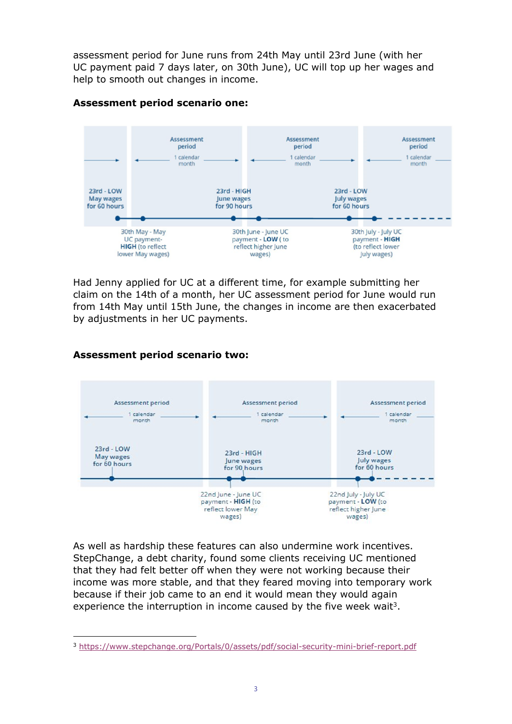assessment period for June runs from 24th May until 23rd June (with her UC payment paid 7 days later, on 30th June), UC will top up her wages and help to smooth out changes in income.



## **Assessment period scenario one:**

Had Jenny applied for UC at a different time, for example submitting her claim on the 14th of a month, her UC assessment period for June would run from 14th May until 15th June, the changes in income are then exacerbated by adjustments in her UC payments.

## **Assessment period scenario two:**



As well as hardship these features can also undermine work incentives. [StepChange,](https://www.stepchange.org/Portals/0/assets/pdf/social-security-mini-brief-report.pdf) a debt charity, found some clients receiving UC mentioned that they had felt better off when they were not working because their income was more stable, and that they feared moving into temporary work because if their job came to an end it would mean they would again experience the interruption in income caused by the five week wait<sup>3</sup>.

<sup>3</sup> <https://www.stepchange.org/Portals/0/assets/pdf/social-security-mini-brief-report.pdf>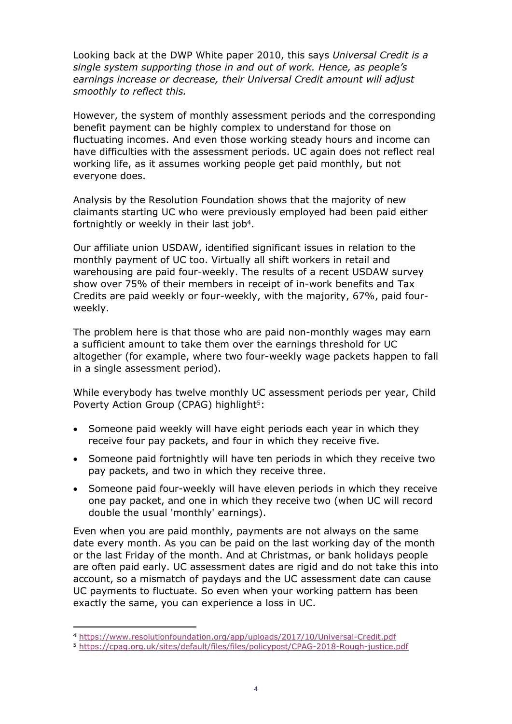Looking back at the DWP White paper 2010, this says *Universal Credit is a single system supporting those in and out of work. Hence, as people's earnings increase or decrease, their Universal Credit amount will adjust smoothly to reflect this.*

However, the system of monthly assessment periods and the corresponding benefit payment can be highly complex to understand for those on fluctuating incomes. And even those working steady hours and income can have difficulties with the assessment periods. UC again does not reflect real working life, as it assumes working people get paid monthly, but not everyone does.

Analysis by the Resolution Foundation shows that the majority of new claimants starting UC who were previously employed had been paid either fortnightly or weekly in their last job<sup>4</sup>.

Our affiliate union USDAW, identified significant issues in relation to the monthly payment of UC too. Virtually all shift workers in retail and warehousing are paid four-weekly. The results of a recent USDAW survey show over 75% of their members in receipt of in-work benefits and Tax Credits are paid weekly or four-weekly, with the majority, 67%, paid fourweekly.

The problem here is that those who are paid non-monthly wages may earn a sufficient amount to take them over the earnings threshold for UC altogether (for example, where two four-weekly wage packets happen to fall in a single assessment period).

While everybody has twelve monthly UC assessment periods per year, Child Poverty Action Group (CPAG) highlight<sup>5</sup>:

- Someone paid weekly will have eight periods each year in which they receive four pay packets, and four in which they receive five.
- Someone paid fortnightly will have ten periods in which they receive two pay packets, and two in which they receive three.
- Someone paid four-weekly will have eleven periods in which they receive one pay packet, and one in which they receive two (when UC will record double the usual 'monthly' earnings).

Even when you are paid monthly, payments are not always on the same date every month. As you can be paid on the last working day of the month or the last Friday of the month. And at Christmas, or bank holidays people are often paid early. UC assessment dates are rigid and do not take this into account, so a mismatch of paydays and the UC assessment date can cause UC payments to fluctuate. So even when your working pattern has been exactly the same, you can experience a loss in UC.

<sup>4</sup> <https://www.resolutionfoundation.org/app/uploads/2017/10/Universal-Credit.pdf>

<sup>5</sup> <https://cpag.org.uk/sites/default/files/files/policypost/CPAG-2018-Rough-justice.pdf>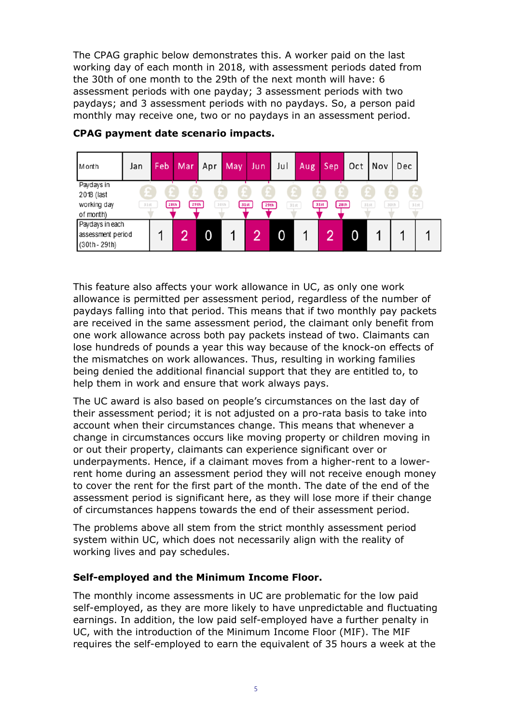The CPAG graphic below demonstrates this. A worker paid on the last working day of each month in 2018, with assessment periods dated from the 30th of one month to the 29th of the next month will have: 6 assessment periods with one payday; 3 assessment periods with two paydays; and 3 assessment periods with no paydays. So, a person paid monthly may receive one, two or no paydays in an assessment period.

| Month             | Jan  | Feb | Mar          | Apr | May          | Jun | Jul          | Aug | Sep          |   | Oct   Nov | Dec          |
|-------------------|------|-----|--------------|-----|--------------|-----|--------------|-----|--------------|---|-----------|--------------|
| Paydays in        |      |     |              |     |              |     |              |     |              |   |           |              |
| 2018 (last        |      |     |              |     |              |     |              |     |              |   |           |              |
| working day       | 31st |     | 29th<br>28th |     | 30th<br>31st |     | 31st<br>29th |     | 28th<br>31st |   | 31st      | 31st<br>30th |
| of month)         |      |     |              |     |              |     |              |     |              |   |           |              |
| Paydays in each   |      |     |              |     |              |     |              |     |              |   |           |              |
| assessment period |      |     | 0            | 0   |              | റ   | 0            |     | റ            | 0 |           |              |
| (30th - 29th)     |      |     |              |     |              |     |              |     |              |   |           |              |

## **CPAG payment date scenario impacts.**

This feature also affects your work allowance in UC, as only one work allowance is permitted per assessment period, regardless of the number of paydays falling into that period. This means that if two monthly pay packets are received in the same assessment period, the claimant only benefit from one work allowance across both pay packets instead of two. Claimants can lose hundreds of pounds a year this way because of the knock-on effects of the mismatches on work allowances. Thus, resulting in working families being denied the additional financial support that they are entitled to, to help them in work and ensure that work always pays.

The UC award is also based on people's circumstances on the last day of their assessment period; it is not adjusted on a pro-rata basis to take into account when their circumstances change. This means that whenever a change in circumstances occurs like moving property or children moving in or out their property, claimants can experience significant over or underpayments. Hence, if a claimant moves from a higher-rent to a lowerrent home during an assessment period they will not receive enough money to cover the rent for the first part of the month. The date of the end of the assessment period is significant here, as they will lose more if their change of circumstances happens towards the end of their assessment period.

The problems above all stem from the strict monthly assessment period system within UC, which does not necessarily align with the reality of working lives and pay schedules.

## **Self-employed and the Minimum Income Floor.**

The monthly income assessments in UC are problematic for the low paid self-employed, as they are more likely to have unpredictable and fluctuating earnings. In addition, the low paid self-employed have a further penalty in UC, with the introduction of the Minimum Income Floor (MIF). The MIF requires the self-employed to earn the equivalent of 35 hours a week at the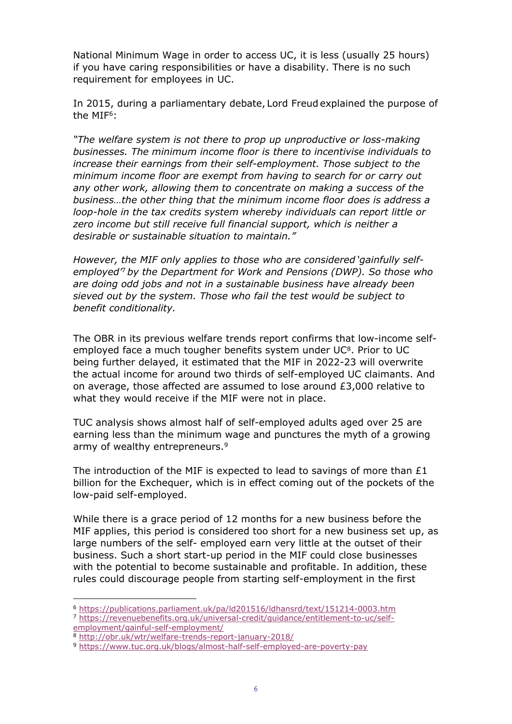National Minimum Wage in order to access UC, it is less (usually 25 hours) if you have caring responsibilities or have a disability. There is no such requirement for employees in UC.

In 2015, during a parliamentary debate, Lord Freud explained the purpose of the MIF<sup>6</sup>:

*"The welfare system is not there to prop up unproductive or loss-making businesses. The minimum income floor is there to incentivise individuals to increase their earnings from their self-employment. Those subject to the minimum income floor are exempt from having to search for or carry out any other work, allowing them to concentrate on making a success of the business…the other thing that the minimum income floor does is address a loop-hole in the tax credits system whereby individuals can report little or zero income but still receive full financial support, which is neither a desirable or sustainable situation to maintain."* 

*However, the MIF only applies to those who are considered 'gainfully selfemployed'*<sup>7</sup>*by the Department for Work and Pensions (DWP). So those who are doing odd jobs and not in a sustainable business have already been sieved out by the system. Those who fail the test would be subject to benefit conditionality.*

The OBR in its previous welfare trends report confirms that low-income selfemployed face a much tougher benefits system under  $UC<sup>8</sup>$ . Prior to UC being further delayed, it estimated that the MIF in 2022-23 will overwrite the actual income for around two thirds of self-employed UC claimants. And on average, those affected are assumed to lose around  $E3,000$  relative to what they would receive if the MIF were not in place.

TUC analysis shows almost half of self-employed adults aged over 25 are earning less than the minimum wage and punctures the myth of a growing army of wealthy entrepreneurs.<sup>9</sup>

The introduction of the MIF is expected to lead to savings of more than  $£1$ billion for the Exchequer, which is in effect coming out of the pockets of the low-paid self-employed.

While there is a grace period of 12 months for a new business before the MIF applies, this period is considered too short for a new business set up, as large numbers of the self- employed earn very little at the outset of their business. Such a short start-up period in the MIF could close businesses with the potential to become sustainable and profitable. In addition, these rules could discourage people from starting self-employment in the first

<sup>6</sup> <https://publications.parliament.uk/pa/ld201516/ldhansrd/text/151214-0003.htm>

<sup>7</sup> [https://revenuebenefits.org.uk/universal-credit/guidance/entitlement-to-uc/self](https://revenuebenefits.org.uk/universal-credit/guidance/entitlement-to-uc/self-employment/gainful-self-employment/)[employment/gainful-self-employment/](https://revenuebenefits.org.uk/universal-credit/guidance/entitlement-to-uc/self-employment/gainful-self-employment/)

<sup>8</sup> <http://obr.uk/wtr/welfare-trends-report-january-2018/>

<sup>9</sup> <https://www.tuc.org.uk/blogs/almost-half-self-employed-are-poverty-pay>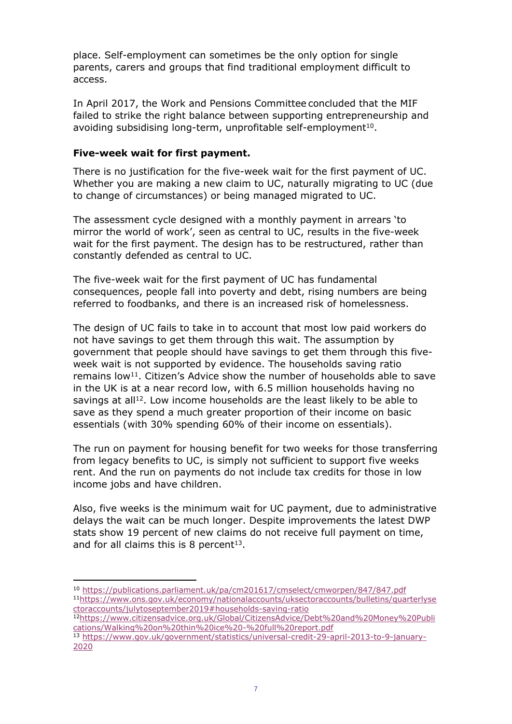place. Self-employment can sometimes be the only option for single parents, carers and groups that find traditional employment difficult to access.

In April 2017, the Work and Pensions Committee concluded that the MIF failed to strike the right balance between supporting entrepreneurship and avoiding subsidising long-term, unprofitable self-employment<sup>10</sup>.

## **Five-week wait for first payment.**

There is no justification for the five-week wait for the first payment of UC. Whether you are making a new claim to UC, naturally migrating to UC (due to change of circumstances) or being managed migrated to UC.

The assessment cycle designed with a monthly payment in arrears 'to mirror the world of work', seen as central to UC, results in the five-week wait for the first payment. The design has to be restructured, rather than constantly defended as central to UC.

The five-week wait for the first payment of UC has fundamental consequences, people fall into poverty and debt, rising numbers are being referred to foodbanks, and there is an increased risk of homelessness.

The design of UC fails to take in to account that most low paid workers do not have savings to get them through this wait. The assumption by government that people should have savings to get them through this fiveweek wait is not supported by evidence. The households saving ratio remains low<sup>11</sup>. Citizen's Advice show the number of households able to save in the UK is at a near record low, with 6.5 million households having no savings at all<sup>12</sup>. Low income households are the least likely to be able to save as they spend a much greater proportion of their income on basic essentials (with 30% spending 60% of their income on essentials).

The run on payment for housing benefit for two weeks for those transferring from legacy benefits to UC, is simply not sufficient to support five weeks rent. And the run on payments do not include tax credits for those in low income jobs and have children.

Also, five weeks is the minimum wait for UC payment, due to administrative delays the wait can be much longer. Despite improvements the latest DWP stats show 19 percent of new claims do not receive full payment on time, and for all claims this is 8 percent $13$ .

<sup>10</sup> <https://publications.parliament.uk/pa/cm201617/cmselect/cmworpen/847/847.pdf> <sup>11</sup>[https://www.ons.gov.uk/economy/nationalaccounts/uksectoraccounts/bulletins/quarterlyse](https://www.ons.gov.uk/economy/nationalaccounts/uksectoraccounts/bulletins/quarterlysectoraccounts/julytoseptember2019#households-saving-ratio) [ctoraccounts/julytoseptember2019#households-saving-ratio](https://www.ons.gov.uk/economy/nationalaccounts/uksectoraccounts/bulletins/quarterlysectoraccounts/julytoseptember2019#households-saving-ratio)

<sup>12</sup>[https://www.citizensadvice.org.uk/Global/CitizensAdvice/Debt%20and%20Money%20Publi](https://www.citizensadvice.org.uk/Global/CitizensAdvice/Debt%20and%20Money%20Publications/Walking%20on%20thin%20ice%20-%20full%20report.pdf) [cations/Walking%20on%20thin%20ice%20-%20full%20report.pdf](https://www.citizensadvice.org.uk/Global/CitizensAdvice/Debt%20and%20Money%20Publications/Walking%20on%20thin%20ice%20-%20full%20report.pdf)

<sup>13</sup> [https://www.gov.uk/government/statistics/universal-credit-29-april-2013-to-9-january-](https://www.gov.uk/government/statistics/universal-credit-29-april-2013-to-9-january-2020)[2020](https://www.gov.uk/government/statistics/universal-credit-29-april-2013-to-9-january-2020)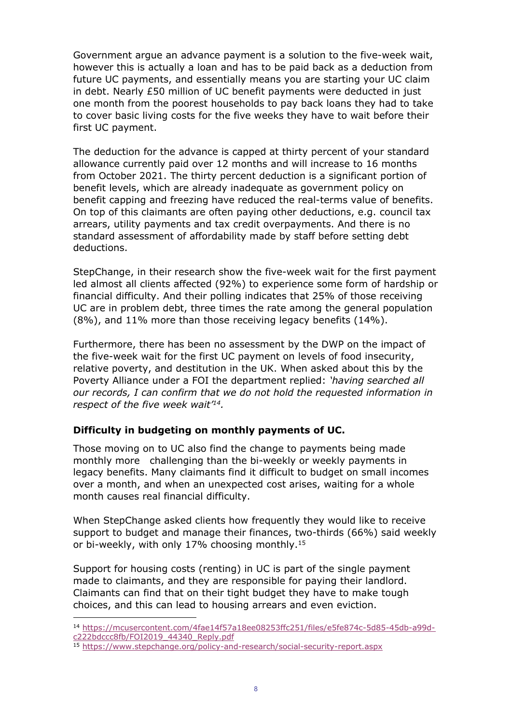Government argue an advance payment is a solution to the five-week wait, however this is actually a loan and has to be paid back as a deduction from future UC payments, and essentially means you are starting your UC claim in debt. Nearly £50 million of UC benefit payments were deducted in just one month from the poorest households to pay back loans they had to take to cover basic living costs for the five weeks they have to wait before their first UC payment.

The deduction for the advance is capped at thirty percent of your standard allowance currently paid over 12 months and will increase to 16 months from October 2021. The thirty percent deduction is a significant portion of benefit levels, which are already inadequate as government policy on benefit capping and freezing have reduced the real-terms value of benefits. On top of this claimants are often paying other deductions, e.g. council tax arrears, utility payments and tax credit overpayments. And there is no standard assessment of affordability made by staff before setting debt deductions.

StepChange, in their research show the five-week wait for the first payment led almost all clients affected (92%) to experience some form of hardship or financial difficulty. And their polling indicates that 25% of those receiving UC are in problem debt, three times the rate among the general population (8%), and 11% more than those receiving legacy benefits (14%).

Furthermore, there has been no assessment by the DWP on the impact of the five-week wait for the first UC payment on levels of food insecurity, relative poverty, and destitution in the UK. When asked about this by the Poverty Alliance under a FOI the department replied: *'having searched all our records, I can confirm that we do not hold the requested information in respect of the five week wait'<sup>14</sup>.*

## **Difficulty in budgeting on monthly payments of UC.**

Those moving on to UC also find the change to payments being made monthly more challenging than the bi-weekly or weekly payments in legacy benefits. Many claimants find it difficult to budget on small incomes over a month, and when an unexpected cost arises, waiting for a whole month causes real financial difficulty.

When StepChange asked clients how frequently they would like to receive support to budget and manage their finances, two-thirds (66%) said weekly or bi-weekly, with only 17% choosing monthly.<sup>15</sup>

Support for housing costs (renting) in UC is part of the single payment made to claimants, and they are responsible for paying their landlord. Claimants can find that on their tight budget they have to make tough choices, and this can lead to housing arrears and even eviction.

<sup>14</sup> [https://mcusercontent.com/4fae14f57a18ee08253ffc251/files/e5fe874c-5d85-45db-a99d](https://mcusercontent.com/4fae14f57a18ee08253ffc251/files/e5fe874c-5d85-45db-a99d-c222bdccc8fb/FOI2019_44340_Reply.pdf)[c222bdccc8fb/FOI2019\\_44340\\_Reply.pdf](https://mcusercontent.com/4fae14f57a18ee08253ffc251/files/e5fe874c-5d85-45db-a99d-c222bdccc8fb/FOI2019_44340_Reply.pdf)

<sup>15</sup> <https://www.stepchange.org/policy-and-research/social-security-report.aspx>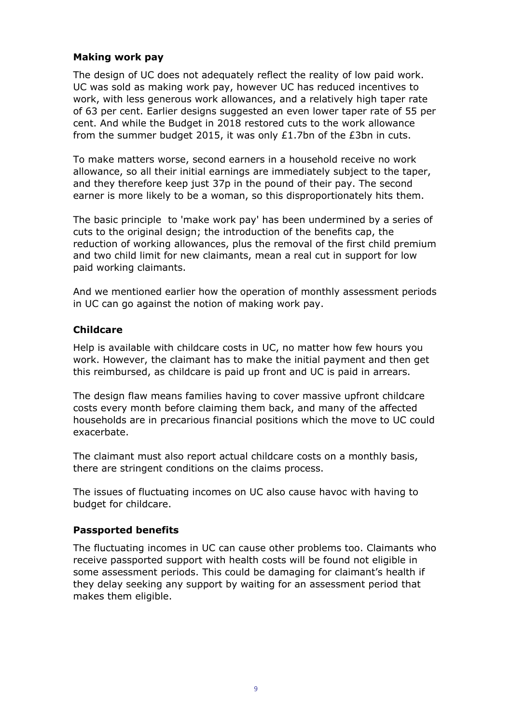## **Making work pay**

The design of UC does not adequately reflect the reality of low paid work. UC was sold as making work pay, however UC has reduced incentives to work, with less generous work allowances, and a relatively high taper rate of 63 per cent. Earlier designs suggested an even lower taper rate of 55 per cent. And while the Budget in 2018 restored cuts to the work allowance from the summer budget 2015, it was only £1.7bn of the £3bn in cuts.

To make matters worse, second earners in a household receive no work allowance, so all their initial earnings are immediately subject to the taper, and they therefore keep just 37p in the pound of their pay. The second earner is more likely to be a woman, so this disproportionately hits them.

The basic principle to 'make work pay' has been undermined by a series of cuts to the original design; the introduction of the benefits cap, the reduction of working allowances, plus the removal of the first child premium and two child limit for new claimants, mean a real cut in support for low paid working claimants.

And we mentioned earlier how the operation of monthly assessment periods in UC can go against the notion of making work pay.

## **Childcare**

Help is available with childcare costs in UC, no matter how few hours you work. However, the claimant has to make the initial payment and then get this reimbursed, as childcare is paid up front and UC is paid in arrears.

The design flaw means families having to cover massive upfront childcare costs every month before claiming them back, and many of the affected households are in precarious financial positions which the move to UC could exacerbate.

The claimant must also report actual childcare costs on a monthly basis, there are stringent conditions on the claims process.

The issues of fluctuating incomes on UC also cause havoc with having to budget for childcare.

## **Passported benefits**

The fluctuating incomes in UC can cause other problems too. Claimants who receive passported support with health costs will be found not eligible in some assessment periods. This could be damaging for claimant's health if they delay seeking any support by waiting for an assessment period that makes them eligible.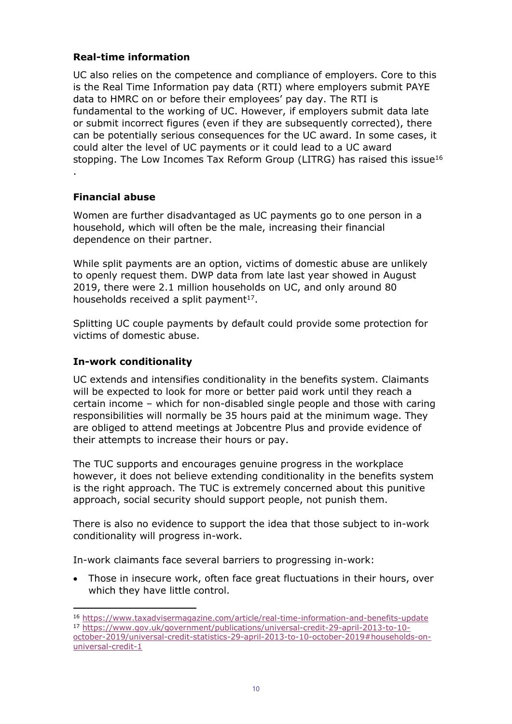## **Real-time information**

UC also relies on the competence and compliance of employers. Core to this is the Real Time Information pay data (RTI) where employers submit PAYE data to HMRC on or before their employees' pay day. The RTI is fundamental to the working of UC. However, if employers submit data late or submit incorrect figures (even if they are subsequently corrected), there can be potentially serious consequences for the UC award. In some cases, it could alter the level of UC payments or it could lead to a UC award stopping. The Low Incomes Tax Reform Group (LITRG) has raised this issue<sup>16</sup> .

## **Financial abuse**

Women are further disadvantaged as UC payments go to one person in a household, which will often be the male, increasing their financial dependence on their partner.

While split payments are an option, victims of domestic abuse are unlikely to openly request them. DWP data from late last year showed in August 2019, there were 2.1 million households on UC, and only around 80 households received a split payment $17$ .

Splitting UC couple payments by default could provide some protection for victims of domestic abuse.

## **In-work conditionality**

UC extends and intensifies conditionality in the benefits system. Claimants will be expected to look for more or better paid work until they reach a certain income – which for non-disabled single people and those with caring responsibilities will normally be 35 hours paid at the minimum wage. They are obliged to attend meetings at Jobcentre Plus and provide evidence of their attempts to increase their hours or pay.

The TUC supports and encourages genuine progress in the workplace however, it does not believe extending conditionality in the benefits system is the right approach. The TUC is extremely concerned about this punitive approach, social security should support people, not punish them.

There is also no evidence to support the idea that those subject to in-work conditionality will progress in-work.

In-work claimants face several barriers to progressing in-work:

- Those in insecure work, often face great fluctuations in their hours, over which they have little control.
- <sup>16</sup> <https://www.taxadvisermagazine.com/article/real-time-information-and-benefits-update>
- <sup>17</sup> [https://www.gov.uk/government/publications/universal-credit-29-april-2013-to-10](https://www.gov.uk/government/publications/universal-credit-29-april-2013-to-10-october-2019/universal-credit-statistics-29-april-2013-to-10-october-2019#households-on-universal-credit-1) [october-2019/universal-credit-statistics-29-april-2013-to-10-october-2019#households-on](https://www.gov.uk/government/publications/universal-credit-29-april-2013-to-10-october-2019/universal-credit-statistics-29-april-2013-to-10-october-2019#households-on-universal-credit-1)[universal-credit-1](https://www.gov.uk/government/publications/universal-credit-29-april-2013-to-10-october-2019/universal-credit-statistics-29-april-2013-to-10-october-2019#households-on-universal-credit-1)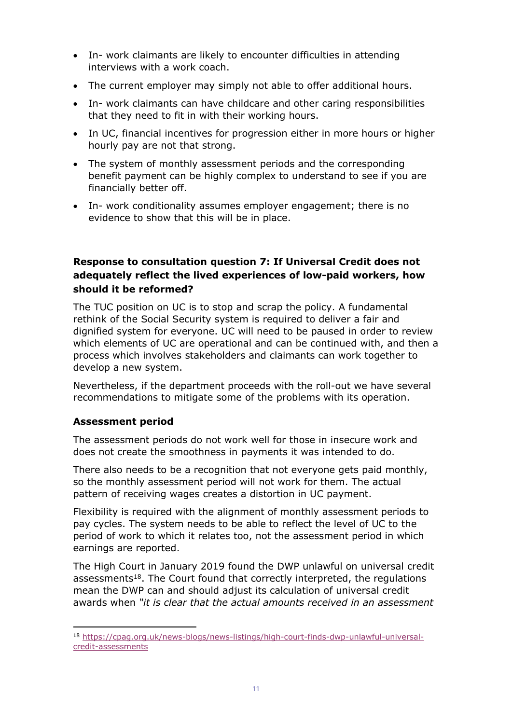- In- work claimants are likely to encounter difficulties in attending interviews with a work coach.
- The current employer may simply not able to offer additional hours.
- In- work claimants can have childcare and other caring responsibilities that they need to fit in with their working hours.
- In UC, financial incentives for progression either in more hours or higher hourly pay are not that strong.
- The system of monthly assessment periods and the corresponding benefit payment can be highly complex to understand to see if you are financially better off.
- In- work conditionality assumes employer engagement; there is no evidence to show that this will be in place.

# **Response to consultation question 7: If Universal Credit does not adequately reflect the lived experiences of low-paid workers, how should it be reformed?**

The TUC position on UC is to stop and scrap the policy. A fundamental rethink of the Social Security system is required to deliver a fair and dignified system for everyone. UC will need to be paused in order to review which elements of UC are operational and can be continued with, and then a process which involves stakeholders and claimants can work together to develop a new system.

Nevertheless, if the department proceeds with the roll-out we have several recommendations to mitigate some of the problems with its operation.

## **Assessment period**

The assessment periods do not work well for those in insecure work and does not create the smoothness in payments it was intended to do.

There also needs to be a recognition that not everyone gets paid monthly, so the monthly assessment period will not work for them. The actual pattern of receiving wages creates a distortion in UC payment.

Flexibility is required with the alignment of monthly assessment periods to pay cycles. The system needs to be able to reflect the level of UC to the period of work to which it relates too, not the assessment period in which earnings are reported.

The High Court in January 2019 found the DWP unlawful on universal credit assessments<sup>18</sup>. The Court found that correctly interpreted, the regulations mean the DWP can and should adjust its calculation of universal credit awards when *"it is clear that the actual amounts received in an assessment*

<sup>18</sup> [https://cpag.org.uk/news-blogs/news-listings/high-court-finds-dwp-unlawful-universal](https://cpag.org.uk/news-blogs/news-listings/high-court-finds-dwp-unlawful-universal-credit-assessments)[credit-assessments](https://cpag.org.uk/news-blogs/news-listings/high-court-finds-dwp-unlawful-universal-credit-assessments)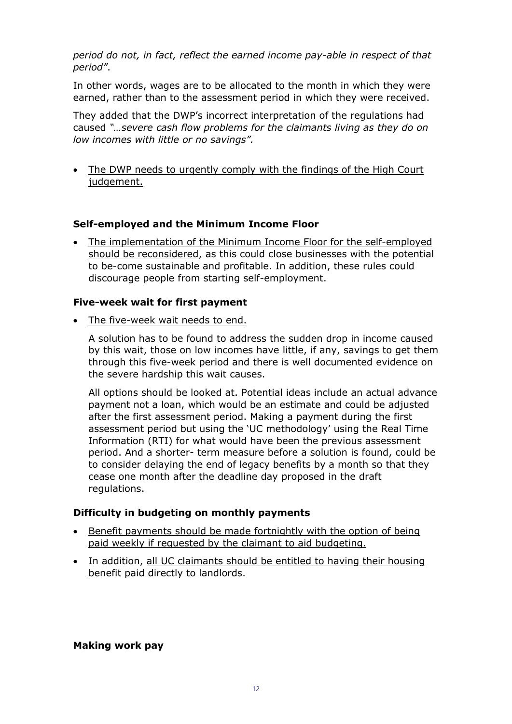*period do not, in fact, reflect the earned income pay-able in respect of that period"*.

In other words, wages are to be allocated to the month in which they were earned, rather than to the assessment period in which they were received.

They added that the DWP's incorrect interpretation of the regulations had caused *"…severe cash flow problems for the claimants living as they do on low incomes with little or no savings".*

• The DWP needs to urgently comply with the findings of the High Court judgement.

## **Self-employed and the Minimum Income Floor**

 The implementation of the Minimum Income Floor for the self-employed should be reconsidered, as this could close businesses with the potential to be-come sustainable and profitable. In addition, these rules could discourage people from starting self-employment.

#### **Five-week wait for first payment**

The five-week wait needs to end.

A solution has to be found to address the sudden drop in income caused by this wait, those on low incomes have little, if any, savings to get them through this five-week period and there is well documented evidence on the severe hardship this wait causes.

All options should be looked at. Potential ideas include an actual advance payment not a loan, which would be an estimate and could be adjusted after the first assessment period. Making a payment during the first assessment period but using the 'UC methodology' using the Real Time Information (RTI) for what would have been the previous assessment period. And a shorter- term measure before a solution is found, could be to consider delaying the end of legacy benefits by a month so that they cease one month after the deadline day proposed in the draft regulations.

## **Difficulty in budgeting on monthly payments**

- Benefit payments should be made fortnightly with the option of being paid weekly if requested by the claimant to aid budgeting.
- In addition, all UC claimants should be entitled to having their housing benefit paid directly to landlords.

## **Making work pay**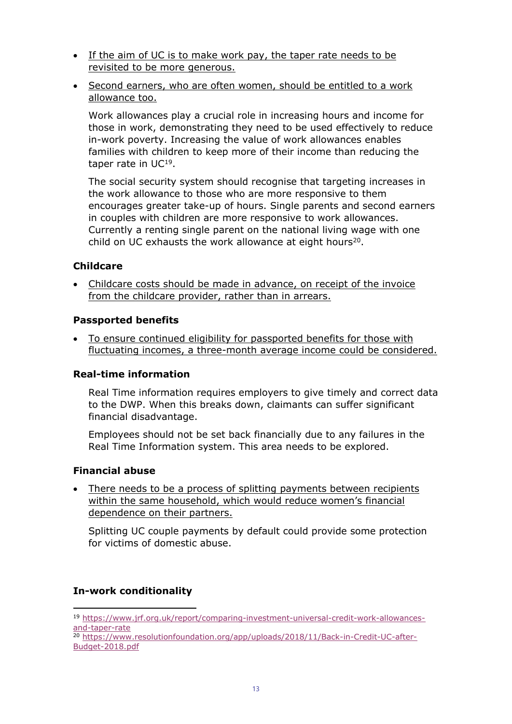- If the aim of UC is to make work pay, the taper rate needs to be revisited to be more generous.
- Second earners, who are often women, should be entitled to a work allowance too.

Work allowances play a crucial role in increasing hours and income for those in work, demonstrating they need to be used effectively to reduce in-work poverty. Increasing the value of work allowances enables families with children to keep more of their income than reducing the taper rate in UC<sup>19</sup>.

The social security system should recognise that targeting increases in the work allowance to those who are more responsive to them encourages greater take-up of hours. Single parents and second earners in couples with children are more responsive to work allowances. Currently a renting single parent on the national living wage with one child on UC exhausts the work allowance at eight hours<sup>20</sup>.

## **Childcare**

 Childcare costs should be made in advance, on receipt of the invoice from the childcare provider, rather than in arrears.

## **Passported benefits**

 To ensure continued eligibility for passported benefits for those with fluctuating incomes, a three-month average income could be considered.

## **Real-time information**

Real Time information requires employers to give timely and correct data to the DWP. When this breaks down, claimants can suffer significant financial disadvantage.

Employees should not be set back financially due to any failures in the Real Time Information system. This area needs to be explored.

## **Financial abuse**

 There needs to be a process of splitting payments between recipients within the same household, which would reduce women's financial dependence on their partners.

Splitting UC couple payments by default could provide some protection for victims of domestic abuse.

## **In-work conditionality**

- <sup>19</sup> [https://www.jrf.org.uk/report/comparing-investment-universal-credit-work-allowances](https://www.jrf.org.uk/report/comparing-investment-universal-credit-work-allowances-and-taper-rate)[and-taper-rate](https://www.jrf.org.uk/report/comparing-investment-universal-credit-work-allowances-and-taper-rate)
- <sup>20</sup> [https://www.resolutionfoundation.org/app/uploads/2018/11/Back-in-Credit-UC-after-](https://www.resolutionfoundation.org/app/uploads/2018/11/Back-in-Credit-UC-after-Budget-2018.pdf)[Budget-2018.pdf](https://www.resolutionfoundation.org/app/uploads/2018/11/Back-in-Credit-UC-after-Budget-2018.pdf)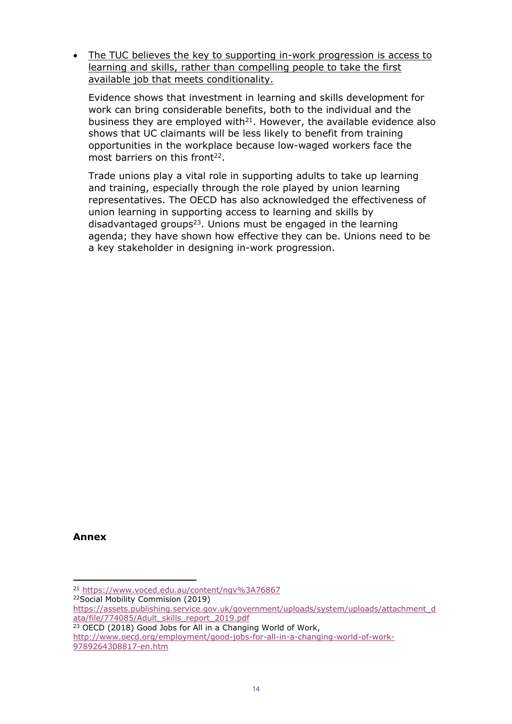The TUC believes the key to supporting in-work progression is access to learning and skills, rather than compelling people to take the first available job that meets conditionality.

Evidence shows that investment in learning and skills development for work can bring considerable benefits, both to the individual and the business they are employed with $21$ . However, the available evidence also shows that UC claimants will be less likely to benefit from training opportunities in the workplace because low-waged workers face the most barriers on this front<sup>22</sup>.

Trade unions play a vital role in supporting adults to take up learning and training, especially through the role played by union learning representatives. The OECD has also acknowledged the effectiveness of union learning in supporting access to learning and skills by disadvantaged groups<sup>23</sup>. Unions must be engaged in the learning agenda; they have shown how effective they can be. Unions need to be a key stakeholder in designing in-work progression.

**Annex**

<sup>22</sup>Social Mobility Commision (2019)

[http://www.oecd.org/employment/good-jobs-for-all-in-a-changing-world-of-work-](http://www.oecd.org/employment/good-jobs-for-all-in-a-changing-world-of-work-9789264308817-en.htm)[9789264308817-en.htm](http://www.oecd.org/employment/good-jobs-for-all-in-a-changing-world-of-work-9789264308817-en.htm)

<sup>21</sup> <https://www.voced.edu.au/content/ngv%3A76867>

[https://assets.publishing.service.gov.uk/government/uploads/system/uploads/attachment\\_d](https://assets.publishing.service.gov.uk/government/uploads/system/uploads/attachment_data/file/774085/Adult_skills_report_2019.pdf) [ata/file/774085/Adult\\_skills\\_report\\_2019.pdf](https://assets.publishing.service.gov.uk/government/uploads/system/uploads/attachment_data/file/774085/Adult_skills_report_2019.pdf)

<sup>&</sup>lt;sup>23</sup> OECD (2018) Good Jobs for All in a Changing World of Work,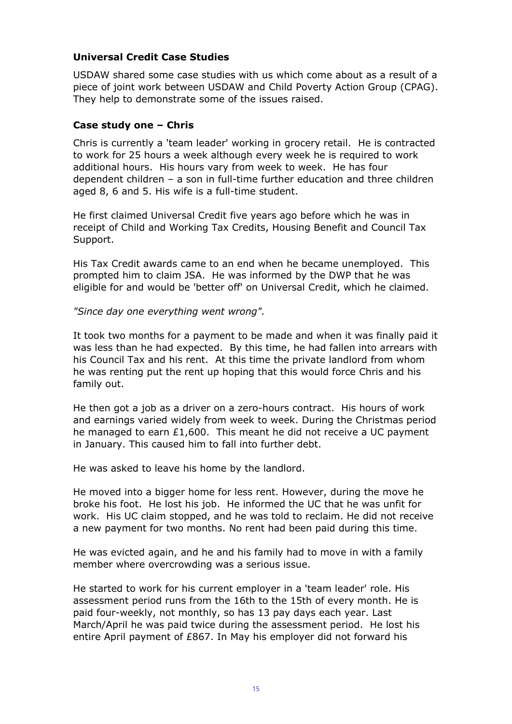## **Universal Credit Case Studies**

USDAW shared some case studies with us which come about as a result of a piece of joint work between USDAW and Child Poverty Action Group (CPAG). They help to demonstrate some of the issues raised.

#### **Case study one – Chris**

Chris is currently a 'team leader' working in grocery retail. He is contracted to work for 25 hours a week although every week he is required to work additional hours. His hours vary from week to week. He has four dependent children – a son in full-time further education and three children aged 8, 6 and 5. His wife is a full-time student.

He first claimed Universal Credit five years ago before which he was in receipt of Child and Working Tax Credits, Housing Benefit and Council Tax Support.

His Tax Credit awards came to an end when he became unemployed. This prompted him to claim JSA. He was informed by the DWP that he was eligible for and would be 'better off' on Universal Credit, which he claimed.

*"Since day one everything went wrong".*

It took two months for a payment to be made and when it was finally paid it was less than he had expected. By this time, he had fallen into arrears with his Council Tax and his rent. At this time the private landlord from whom he was renting put the rent up hoping that this would force Chris and his family out.

He then got a job as a driver on a zero-hours contract. His hours of work and earnings varied widely from week to week. During the Christmas period he managed to earn  $£1,600$ . This meant he did not receive a UC payment in January. This caused him to fall into further debt.

He was asked to leave his home by the landlord.

He moved into a bigger home for less rent. However, during the move he broke his foot. He lost his job. He informed the UC that he was unfit for work. His UC claim stopped, and he was told to reclaim. He did not receive a new payment for two months. No rent had been paid during this time.

He was evicted again, and he and his family had to move in with a family member where overcrowding was a serious issue.

He started to work for his current employer in a 'team leader' role. His assessment period runs from the 16th to the 15th of every month. He is paid four-weekly, not monthly, so has 13 pay days each year. Last March/April he was paid twice during the assessment period. He lost his entire April payment of £867. In May his employer did not forward his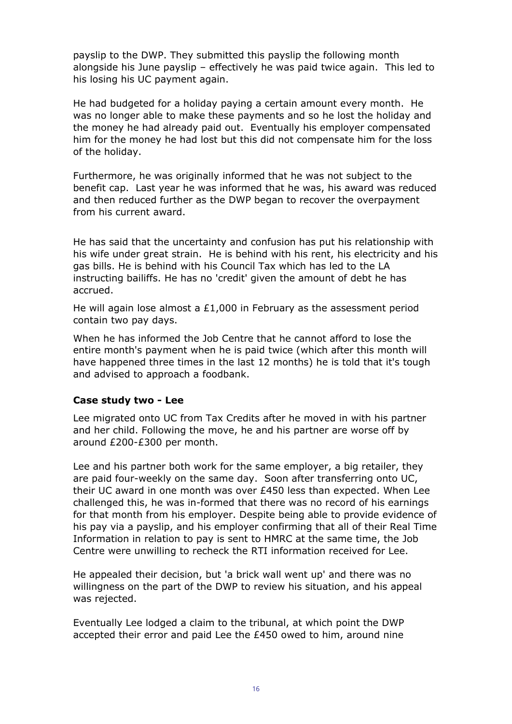payslip to the DWP. They submitted this payslip the following month alongside his June payslip – effectively he was paid twice again. This led to his losing his UC payment again.

He had budgeted for a holiday paying a certain amount every month. He was no longer able to make these payments and so he lost the holiday and the money he had already paid out. Eventually his employer compensated him for the money he had lost but this did not compensate him for the loss of the holiday.

Furthermore, he was originally informed that he was not subject to the benefit cap. Last year he was informed that he was, his award was reduced and then reduced further as the DWP began to recover the overpayment from his current award.

He has said that the uncertainty and confusion has put his relationship with his wife under great strain. He is behind with his rent, his electricity and his gas bills. He is behind with his Council Tax which has led to the LA instructing bailiffs. He has no 'credit' given the amount of debt he has accrued.

He will again lose almost a  $£1,000$  in February as the assessment period contain two pay days.

When he has informed the Job Centre that he cannot afford to lose the entire month's payment when he is paid twice (which after this month will have happened three times in the last 12 months) he is told that it's tough and advised to approach a foodbank.

## **Case study two - Lee**

Lee migrated onto UC from Tax Credits after he moved in with his partner and her child. Following the move, he and his partner are worse off by around £200-£300 per month.

Lee and his partner both work for the same employer, a big retailer, they are paid four-weekly on the same day. Soon after transferring onto UC, their UC award in one month was over £450 less than expected. When Lee challenged this, he was in-formed that there was no record of his earnings for that month from his employer. Despite being able to provide evidence of his pay via a payslip, and his employer confirming that all of their Real Time Information in relation to pay is sent to HMRC at the same time, the Job Centre were unwilling to recheck the RTI information received for Lee.

He appealed their decision, but 'a brick wall went up' and there was no willingness on the part of the DWP to review his situation, and his appeal was rejected.

Eventually Lee lodged a claim to the tribunal, at which point the DWP accepted their error and paid Lee the £450 owed to him, around nine